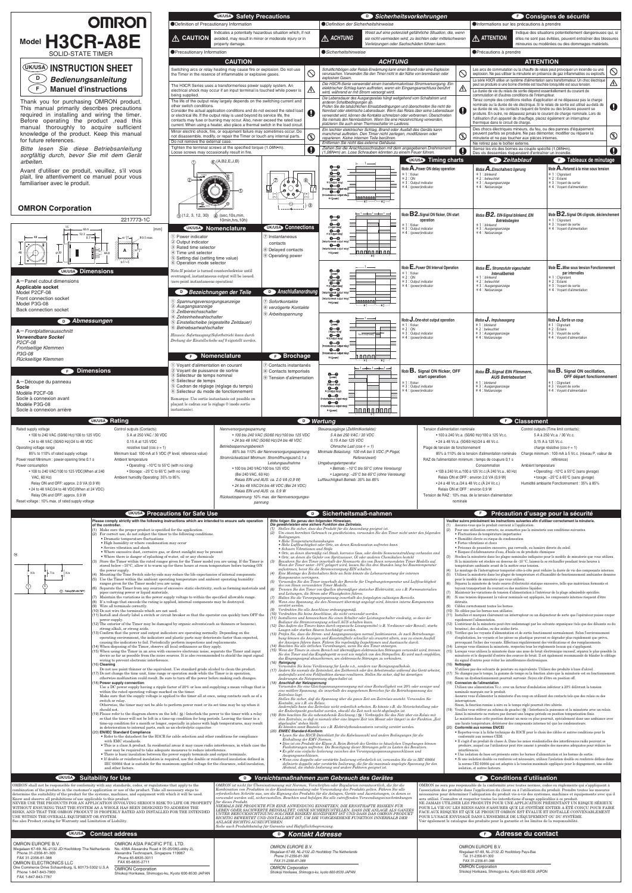